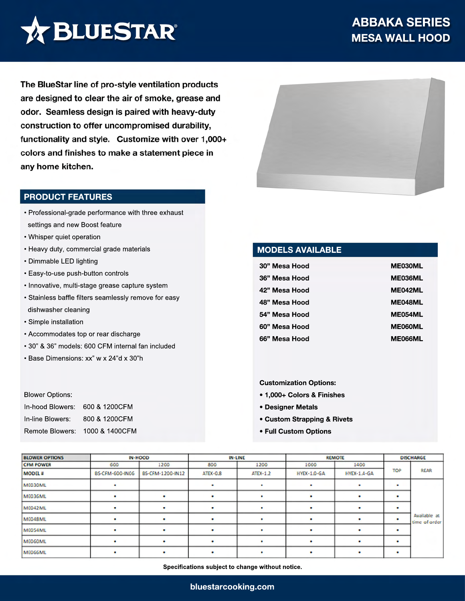

The BlueStar line of pro-style ventilation products are designed to clear the air of smoke, grease and odor. Seamless design is paired with heavy-duty construction to offer uncompromised durability, functionality and style. Customize with over 1,000+ colors and finishes to make a statement piece in any home kitchen.

### **PRODUCT FEATURES**

- Professional-grade performance with three exhaust settings and new Boost feature
- Whisper quiet operation
- Heavy duty, commercial grade materials
- Dimmable LED lighting
- Easy-to-use push-button controls
- Innovative, multi-stage grease capture system
- Stainless baffle filters seamlessly remove for easy dishwasher cleaning
- Simple installation
- Accommodates top or rear discharge
- 30" & 36" models: 600 CFM internal fan included
- Base Dimensions: xx" w x 24"d x 30"h

#### Blower Options:

| In-hood Blowers: 600 & 1200CFM |                                |
|--------------------------------|--------------------------------|
| In-line Blowers:               | 800 & 1200CFM                  |
|                                | Remote Blowers: 1000 & 1400CFM |



## **MODELS AVAILABLE**

| 30" Mesa Hood | <b>ME030ML</b> |
|---------------|----------------|
| 36" Mesa Hood | <b>ME036ML</b> |
| 42" Mesa Hood | ME042ML        |
| 48" Mesa Hood | ME048ML        |
| 54" Mesa Hood | <b>ME054ML</b> |
| 60" Mesa Hood | <b>ME060ML</b> |
| 66" Mesa Hood | <b>ME066ML</b> |

#### **Customization Options:**

- **1,000+ Colors & Finishes**
- **Designer Metals**
- **Custom Strapping & Rivets**
- **Full Custom Options**

| <b>BLOWER OPTIONS</b> | <b>IN-HOOD</b>  |                  | <b>IN-LINE</b> |                 |                    | <b>REMOTE</b>      |            | <b>DISCHARGE</b>              |
|-----------------------|-----------------|------------------|----------------|-----------------|--------------------|--------------------|------------|-------------------------------|
| <b>CFM POWER</b>      | 600             | 1200             | 800            | 1200            | 1000               | 1400               |            |                               |
| <b>MODEL#</b>         | BS-CFM-600-IN06 | BS-CFM-1200-IN12 | ATEX-0.8       | <b>ATEX-1.2</b> | <b>HYEX-1.0-GA</b> | <b>HYEX-1.4-GA</b> | <b>TOP</b> | <b>REAR</b>                   |
| ME030ML               |                 |                  |                |                 |                    |                    |            |                               |
| ME036ML               |                 |                  |                |                 |                    |                    |            |                               |
| ME042ML               |                 |                  |                |                 |                    |                    |            |                               |
| ME048ML               |                 |                  |                |                 |                    |                    |            | Available at<br>time of order |
| ME054ML               |                 |                  |                |                 |                    |                    |            |                               |
| <b>ME060ML</b>        |                 |                  |                |                 |                    |                    |            |                               |
| <b>ME066ML</b>        |                 |                  |                |                 |                    |                    |            |                               |

**Specifications subject to change without notice.**